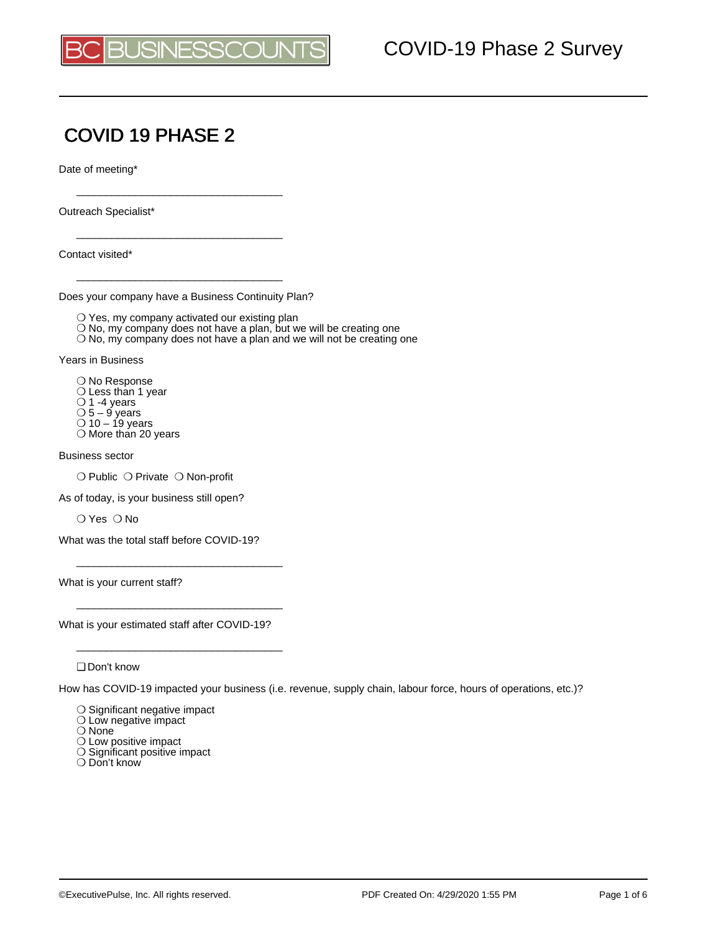

## COVID 19 PHASE 2

Date of meeting\*

Outreach Specialist\*

Contact visited\*

Does your company have a Business Continuity Plan?

\_\_\_\_\_\_\_\_\_\_\_\_\_\_\_\_\_\_\_\_\_\_\_\_\_\_\_\_\_\_\_\_\_\_\_

\_\_\_\_\_\_\_\_\_\_\_\_\_\_\_\_\_\_\_\_\_\_\_\_\_\_\_\_\_\_\_\_\_\_\_

\_\_\_\_\_\_\_\_\_\_\_\_\_\_\_\_\_\_\_\_\_\_\_\_\_\_\_\_\_\_\_\_\_\_\_

❍ Yes, my company activated our existing plan

❍ No, my company does not have a plan, but we will be creating one

❍ No, my company does not have a plan and we will not be creating one

Years in Business

O No Response O Less than 1 year  $\bigcirc$  1 -4 years  $\bigcirc$  5 – 9 years  $\bigcirc$  10 – 19 years ❍ More than 20 years

Business sector

❍ Public ❍ Private ❍ Non-profit

As of today, is your business still open?

❍ Yes ❍ No

What was the total staff before COVID-19?

\_\_\_\_\_\_\_\_\_\_\_\_\_\_\_\_\_\_\_\_\_\_\_\_\_\_\_\_\_\_\_\_\_\_\_

\_\_\_\_\_\_\_\_\_\_\_\_\_\_\_\_\_\_\_\_\_\_\_\_\_\_\_\_\_\_\_\_\_\_\_

\_\_\_\_\_\_\_\_\_\_\_\_\_\_\_\_\_\_\_\_\_\_\_\_\_\_\_\_\_\_\_\_\_\_\_

What is your current staff?

What is your estimated staff after COVID-19?

❏ Don't know

How has COVID-19 impacted your business (i.e. revenue, supply chain, labour force, hours of operations, etc.)?

❍ Significant negative impact

❍ Low negative impact

❍ None

❍ Low positive impact

O Significant positive impact

❍ Don't know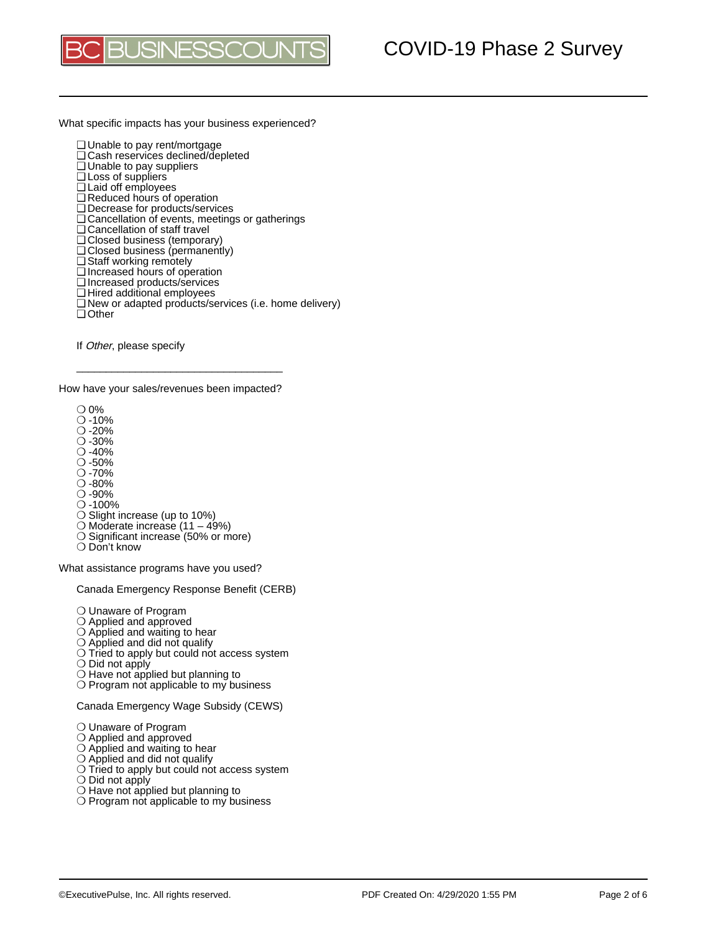

What specific impacts has your business experienced?

- ❏ Unable to pay rent/mortgage
- ❏ Cash reservices declined/depleted
- ❏ Unable to pay suppliers
- ❏ Loss of suppliers
- ❏ Laid off employees
- ❏ Reduced hours of operation
- ❏ Decrease for products/services
- ❏ Cancellation of events, meetings or gatherings
- ❏ Cancellation of staff travel
- ❏ Closed business (temporary)
- ❏ Closed business (permanently)
- ❏ Staff working remotely
- ❏ Increased hours of operation
- ❏ Increased products/services
- ❏ Hired additional employees
- ❏ New or adapted products/services (i.e. home delivery)
- ❏ Other

If Other, please specify

How have your sales/revenues been impacted?

\_\_\_\_\_\_\_\_\_\_\_\_\_\_\_\_\_\_\_\_\_\_\_\_\_\_\_\_\_\_\_\_\_\_\_

❍ 0%

- $0 10%$
- $O 20%$
- $O 30%$  $0 - 40%$
- $O 50%$
- $0 70%$
- $\bar{O}$  -80%
- ❍ -90%
- $O 100%$
- ❍ Slight increase (up to 10%)
- ❍ Moderate increase (11 49%)
- O Significant increase (50% or more)
- ❍ Don't know

What assistance programs have you used?

Canada Emergency Response Benefit (CERB)

- ❍ Unaware of Program
- ❍ Applied and approved
- O Applied and waiting to hear
- $\bigcirc$  Applied and did not qualify
- ❍ Tried to apply but could not access system
- ❍ Did not apply
- ❍ Have not applied but planning to
- ❍ Program not applicable to my business

Canada Emergency Wage Subsidy (CEWS)

- ❍ Unaware of Program
- ❍ Applied and approved
- ❍ Applied and waiting to hear
- ❍ Applied and did not qualify
- ❍ Tried to apply but could not access system
- ❍ Did not apply
- ❍ Have not applied but planning to
- ❍ Program not applicable to my business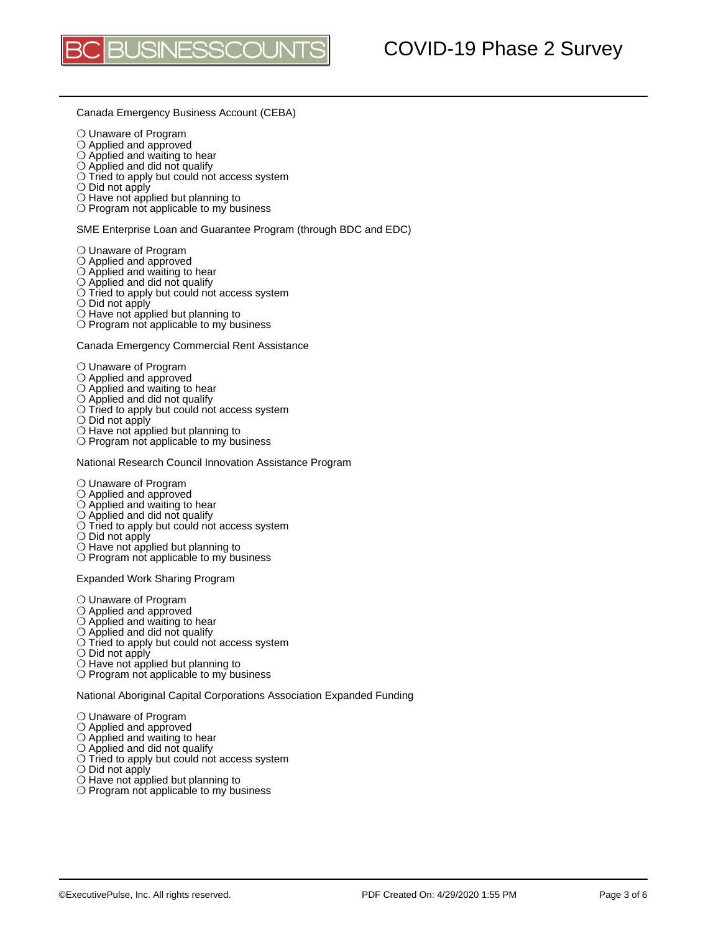

Canada Emergency Business Account (CEBA)

- ❍ Unaware of Program
- ❍ Applied and approved
- ❍ Applied and waiting to hear
- $\bigcirc$  Applied and did not qualify
- ❍ Tried to apply but could not access system
- ❍ Did not apply
- ❍ Have not applied but planning to
- ❍ Program not applicable to my business

SME Enterprise Loan and Guarantee Program (through BDC and EDC)

- ❍ Unaware of Program
- ❍ Applied and approved
- O Applied and waiting to hear
- ❍ Applied and did not qualify
- ❍ Tried to apply but could not access system
- ❍ Did not apply
- ❍ Have not applied but planning to ❍ Program not applicable to my business

Canada Emergency Commercial Rent Assistance

- ❍ Unaware of Program
- ❍ Applied and approved
- ❍ Applied and waiting to hear
- ❍ Applied and did not qualify
- ❍ Tried to apply but could not access system
- $\bigcirc$  Did not apply
- ❍ Have not applied but planning to
- ❍ Program not applicable to my business

National Research Council Innovation Assistance Program

- ❍ Unaware of Program
- ❍ Applied and approved
- O Applied and waiting to hear
- ❍ Applied and did not qualify
- ❍ Tried to apply but could not access system
- ❍ Did not apply
- ❍ Have not applied but planning to
- ❍ Program not applicable to my business

Expanded Work Sharing Program

- ❍ Unaware of Program
- ❍ Applied and approved
- ❍ Applied and waiting to hear
- O Applied and did not qualify
- ❍ Tried to apply but could not access system
- ❍ Did not apply
- ❍ Have not applied but planning to
- ❍ Program not applicable to my business

National Aboriginal Capital Corporations Association Expanded Funding

- ❍ Unaware of Program
- ❍ Applied and approved
- O Applied and waiting to hear
- ❍ Applied and did not qualify
- ❍ Tried to apply but could not access system
- ❍ Did not apply
- ❍ Have not applied but planning to
- ❍ Program not applicable to my business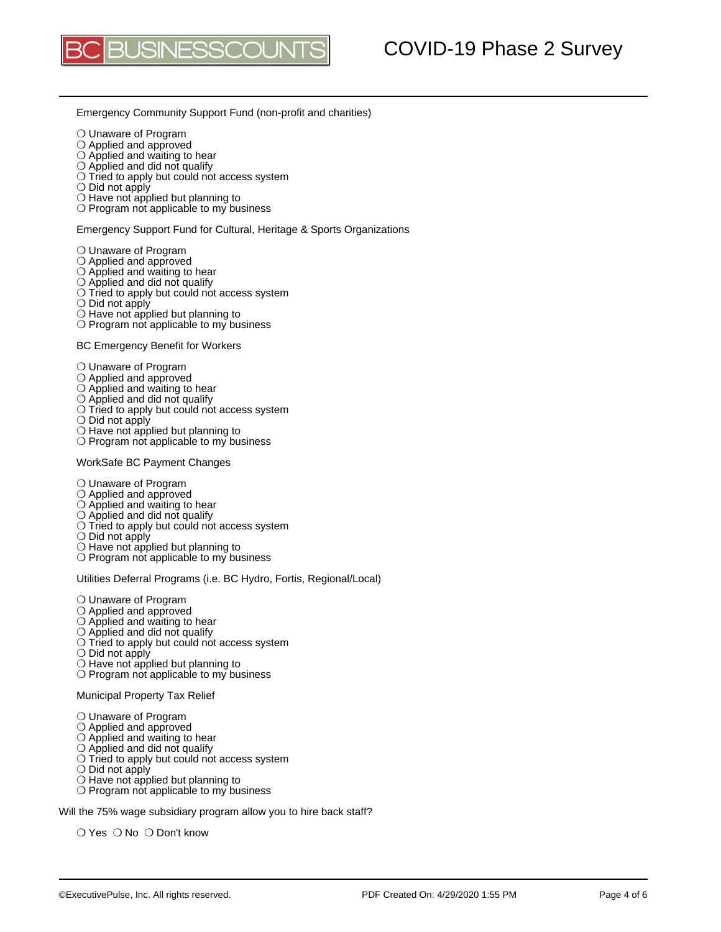

Emergency Community Support Fund (non-profit and charities)

- ❍ Unaware of Program
- ❍ Applied and approved
- ❍ Applied and waiting to hear
- $\bigcirc$  Applied and did not qualify
- ❍ Tried to apply but could not access system
- ❍ Did not apply
- ❍ Have not applied but planning to
- ❍ Program not applicable to my business

Emergency Support Fund for Cultural, Heritage & Sports Organizations

- ❍ Unaware of Program
- ❍ Applied and approved
- O Applied and waiting to hear
- ❍ Applied and did not qualify
- ❍ Tried to apply but could not access system
- ❍ Did not apply
- ❍ Have not applied but planning to ❍ Program not applicable to my business

BC Emergency Benefit for Workers

- ❍ Unaware of Program
- ❍ Applied and approved
- ❍ Applied and waiting to hear
- ❍ Applied and did not qualify
- ❍ Tried to apply but could not access system
- ❍ Did not apply
- ❍ Have not applied but planning to
- ❍ Program not applicable to my business

WorkSafe BC Payment Changes

- ❍ Unaware of Program
- ❍ Applied and approved
- O Applied and waiting to hear
- ❍ Applied and did not qualify
- ❍ Tried to apply but could not access system
- $\bigcirc$  Did not apply
- ❍ Have not applied but planning to
- ❍ Program not applicable to my business

Utilities Deferral Programs (i.e. BC Hydro, Fortis, Regional/Local)

- ❍ Unaware of Program
- ❍ Applied and approved
- ❍ Applied and waiting to hear
- O Applied and did not qualify
- ❍ Tried to apply but could not access system
- ❍ Did not apply
- ❍ Have not applied but planning to
- ❍ Program not applicable to my business

Municipal Property Tax Relief

- ❍ Unaware of Program
- ❍ Applied and approved
- O Applied and waiting to hear
- ❍ Applied and did not qualify
- ❍ Tried to apply but could not access system
- ❍ Did not apply
- ❍ Have not applied but planning to
- ❍ Program not applicable to my business

Will the 75% wage subsidiary program allow you to hire back staff?

❍ Yes ❍ No ❍ Don't know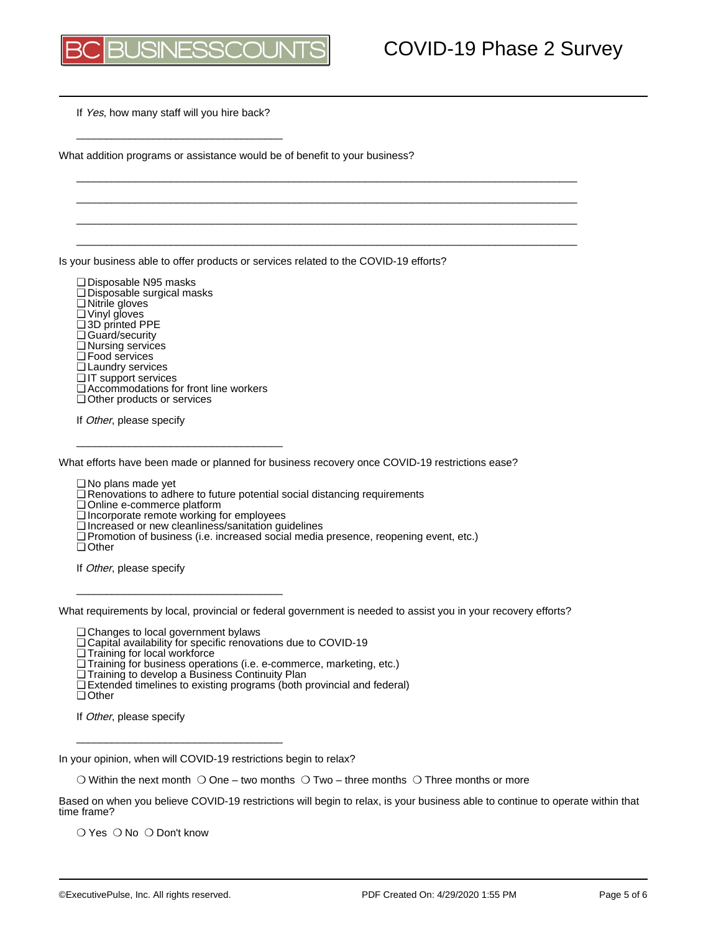If Yes, how many staff will you hire back?

\_\_\_\_\_\_\_\_\_\_\_\_\_\_\_\_\_\_\_\_\_\_\_\_\_\_\_\_\_\_\_\_\_\_\_

What addition programs or assistance would be of benefit to your business?

Is your business able to offer products or services related to the COVID-19 efforts?

 $\_$  . The contribution of the contribution of the contribution of the contribution of  $\mathcal{L}_1$  $\_$  . The contribution of the contribution of the contribution of the contribution of  $\mathcal{L}_1$  $\_$  . The contribution of the contribution of the contribution of the contribution of  $\mathcal{L}_1$  $\_$  . The contribution of the contribution of the contribution of the contribution of  $\mathcal{L}_1$ 

- ❏ Disposable N95 masks
- ❏ Disposable surgical masks
- ❏ Nitrile gloves
- ❏ Vinyl gloves
- ❏ 3D printed PPE
- ❏ Guard/security
- ❏ Nursing services
- ❏ Food services
- ❏ Laundry services
- ❏ IT support services ❏ Accommodations for front line workers

\_\_\_\_\_\_\_\_\_\_\_\_\_\_\_\_\_\_\_\_\_\_\_\_\_\_\_\_\_\_\_\_\_\_\_

- ❏ Other products or services
- If Other, please specify

What efforts have been made or planned for business recovery once COVID-19 restrictions ease?

❏ No plans made yet

- ❏ Renovations to adhere to future potential social distancing requirements
- ❏ Online e-commerce platform
- ❏ Incorporate remote working for employees
- ❏ Increased or new cleanliness/sanitation guidelines
- ❏ Promotion of business (i.e. increased social media presence, reopening event, etc.)
- ❏ Other

If Other, please specify

What requirements by local, provincial or federal government is needed to assist you in your recovery efforts?

❏ Changes to local government bylaws

\_\_\_\_\_\_\_\_\_\_\_\_\_\_\_\_\_\_\_\_\_\_\_\_\_\_\_\_\_\_\_\_\_\_\_

- ❏ Capital availability for specific renovations due to COVID-19
- ❏ Training for local workforce
- ❏ Training for business operations (i.e. e-commerce, marketing, etc.)
- ❏ Training to develop a Business Continuity Plan

\_\_\_\_\_\_\_\_\_\_\_\_\_\_\_\_\_\_\_\_\_\_\_\_\_\_\_\_\_\_\_\_\_\_\_

❏ Extended timelines to existing programs (both provincial and federal)

If Other, please specify

In your opinion, when will COVID-19 restrictions begin to relax?

 $\bigcirc$  Within the next month  $\bigcirc$  One – two months  $\bigcirc$  Two – three months  $\bigcirc$  Three months or more

Based on when you believe COVID-19 restrictions will begin to relax, is your business able to continue to operate within that time frame?

❍ Yes ❍ No ❍ Don't know

<sup>❏</sup> Other